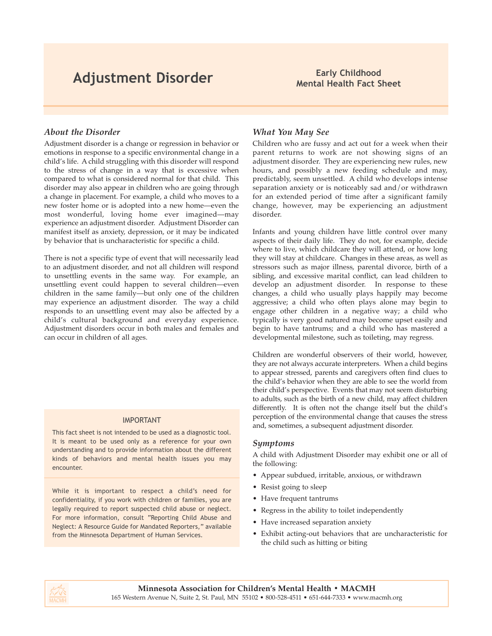# **Adjustment Disorder Early Childhood**

# **Mental Health Fact Sheet**

### *About the Disorder*

Adjustment disorder is a change or regression in behavior or emotions in response to a specific environmental change in a child's life. A child struggling with this disorder will respond to the stress of change in a way that is excessive when compared to what is considered normal for that child. This disorder may also appear in children who are going through a change in placement. For example, a child who moves to a new foster home or is adopted into a new home—even the most wonderful, loving home ever imagined—may experience an adjustment disorder. Adjustment Disorder can manifest itself as anxiety, depression, or it may be indicated by behavior that is uncharacteristic for specific a child.

There is not a specific type of event that will necessarily lead to an adjustment disorder, and not all children will respond to unsettling events in the same way. For example, an unsettling event could happen to several children—even children in the same family—but only one of the children may experience an adjustment disorder. The way a child responds to an unsettling event may also be affected by a child's cultural background and everyday experience. Adjustment disorders occur in both males and females and can occur in children of all ages.

### IMPORTANT

This fact sheet is not intended to be used as a diagnostic tool. It is meant to be used only as a reference for your own understanding and to provide information about the different kinds of behaviors and mental health issues you may encounter.

While it is important to respect a child's need for confidentiality, if you work with children or families, you are legally required to report suspected child abuse or neglect. For more information, consult "Reporting Child Abuse and Neglect: A Resource Guide for Mandated Reporters," available from the Minnesota Department of Human Services.

### *What You May See*

Children who are fussy and act out for a week when their parent returns to work are not showing signs of an adjustment disorder. They are experiencing new rules, new hours, and possibly a new feeding schedule and may, predictably, seem unsettled. A child who develops intense separation anxiety or is noticeably sad and/or withdrawn for an extended period of time after a significant family change, however, may be experiencing an adjustment disorder.

Infants and young children have little control over many aspects of their daily life. They do not, for example, decide where to live, which childcare they will attend, or how long they will stay at childcare. Changes in these areas, as well as stressors such as major illness, parental divorce, birth of a sibling, and excessive marital conflict, can lead children to develop an adjustment disorder. In response to these changes, a child who usually plays happily may become aggressive; a child who often plays alone may begin to engage other children in a negative way; a child who typically is very good natured may become upset easily and begin to have tantrums; and a child who has mastered a developmental milestone, such as toileting, may regress.

Children are wonderful observers of their world, however, they are not always accurate interpreters. When a child begins to appear stressed, parents and caregivers often find clues to the child's behavior when they are able to see the world from their child's perspective. Events that may not seem disturbing to adults, such as the birth of a new child, may affect children differently. It is often not the change itself but the child's perception of the environmental change that causes the stress and, sometimes, a subsequent adjustment disorder.

### *Symptoms*

A child with Adjustment Disorder may exhibit one or all of the following:

- Appear subdued, irritable, anxious, or withdrawn
- Resist going to sleep
- Have frequent tantrums
- Regress in the ability to toilet independently
- Have increased separation anxiety
- Exhibit acting-out behaviors that are uncharacteristic for the child such as hitting or biting

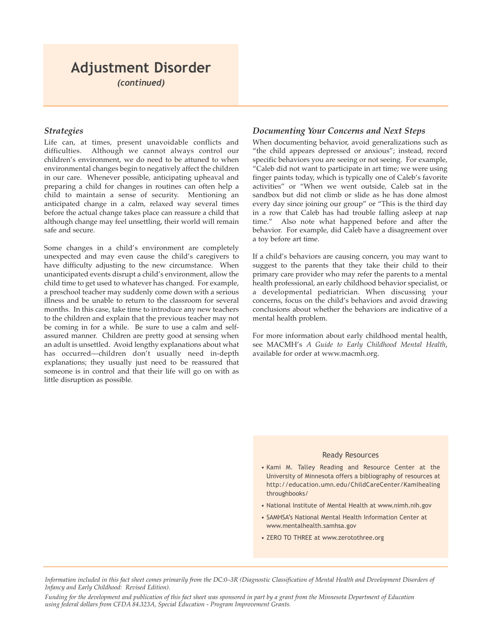### **Adjustment Disorder**  *(continued)*

### *Strategies*

Life can, at times, present unavoidable conflicts and difficulties. Although we cannot always control our children's environment, we do need to be attuned to when environmental changes begin to negatively affect the children in our care. Whenever possible, anticipating upheaval and preparing a child for changes in routines can often help a child to maintain a sense of security. Mentioning an anticipated change in a calm, relaxed way several times before the actual change takes place can reassure a child that although change may feel unsettling, their world will remain safe and secure.

Some changes in a child's environment are completely unexpected and may even cause the child's caregivers to have difficulty adjusting to the new circumstance. When unanticipated events disrupt a child's environment, allow the child time to get used to whatever has changed. For example, a preschool teacher may suddenly come down with a serious illness and be unable to return to the classroom for several months. In this case, take time to introduce any new teachers to the children and explain that the previous teacher may not be coming in for a while. Be sure to use a calm and selfassured manner. Children are pretty good at sensing when an adult is unsettled. Avoid lengthy explanations about what has occurred—children don't usually need in-depth explanations; they usually just need to be reassured that someone is in control and that their life will go on with as little disruption as possible.

### *Documenting Your Concerns and Next Steps*

When documenting behavior, avoid generalizations such as "the child appears depressed or anxious"; instead, record specific behaviors you are seeing or not seeing. For example, "Caleb did not want to participate in art time; we were using finger paints today, which is typically one of Caleb's favorite activities" or "When we went outside, Caleb sat in the sandbox but did not climb or slide as he has done almost every day since joining our group" or "This is the third day in a row that Caleb has had trouble falling asleep at nap time." Also note what happened before and after the behavior. For example, did Caleb have a disagreement over a toy before art time.

If a child's behaviors are causing concern, you may want to suggest to the parents that they take their child to their primary care provider who may refer the parents to a mental health professional, an early childhood behavior specialist, or a developmental pediatrician. When discussing your concerns, focus on the child's behaviors and avoid drawing conclusions about whether the behaviors are indicative of a mental health problem.

For more information about early childhood mental health, see MACMH's *A Guide to Early Childhood Mental Health*, available for order at www.macmh.org.

### Ready Resources

- Kami M. Talley Reading and Resource Center at the University of Minnesota offers a bibliography of resources at http://education.umn.edu/ChildCareCenter/Kamihealing throughbooks/
- National Institute of Mental Health at www.nimh.nih.gov
- SAMHSA's National Mental Health Information Center at www.mentalhealth.samhsa.gov
- ZERO TO THREE at www.zerotothree.org

*Information included in this fact sheet comes primarily from the DC:0–3R (Diagnostic Classification of Mental Health and Development Disorders of Infancy and Early Childhood: Revised Edition).*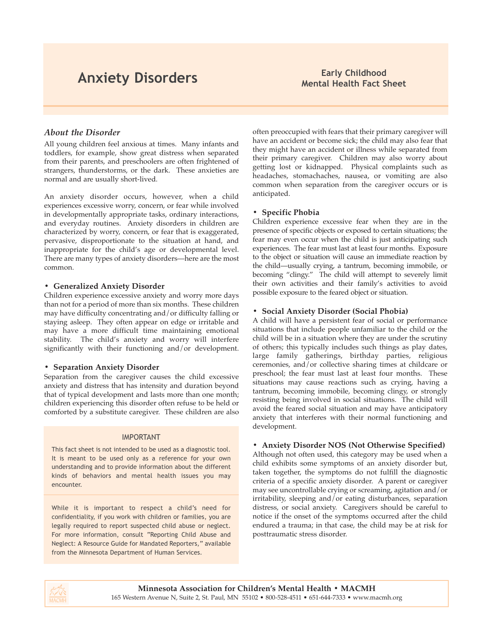# **Anxiety Disorders Early Childhood**

# **Mental Health Fact Sheet**

### *About the Disorder*

All young children feel anxious at times. Many infants and toddlers, for example, show great distress when separated from their parents, and preschoolers are often frightened of strangers, thunderstorms, or the dark. These anxieties are normal and are usually short-lived.

An anxiety disorder occurs, however, when a child experiences excessive worry, concern, or fear while involved in developmentally appropriate tasks, ordinary interactions, and everyday routines. Anxiety disorders in children are characterized by worry, concern, or fear that is exaggerated, pervasive, disproportionate to the situation at hand, and inappropriate for the child's age or developmental level. There are many types of anxiety disorders—here are the most common.

### **• Generalized Anxiety Disorder**

Children experience excessive anxiety and worry more days than not for a period of more than six months. These children may have difficulty concentrating and/or difficulty falling or staying asleep. They often appear on edge or irritable and may have a more difficult time maintaining emotional stability. The child's anxiety and worry will interfere significantly with their functioning and/or development.

### **• Separation Anxiety Disorder**

Separation from the caregiver causes the child excessive anxiety and distress that has intensity and duration beyond that of typical development and lasts more than one month; children experiencing this disorder often refuse to be held or comforted by a substitute caregiver. These children are also

### IMPORTANT

This fact sheet is not intended to be used as a diagnostic tool. It is meant to be used only as a reference for your own understanding and to provide information about the different kinds of behaviors and mental health issues you may encounter.

While it is important to respect a child's need for confidentiality, if you work with children or families, you are legally required to report suspected child abuse or neglect. For more information, consult "Reporting Child Abuse and Neglect: A Resource Guide for Mandated Reporters," available from the Minnesota Department of Human Services.

often preoccupied with fears that their primary caregiver will have an accident or become sick; the child may also fear that they might have an accident or illness while separated from their primary caregiver. Children may also worry about getting lost or kidnapped. Physical complaints such as headaches, stomachaches, nausea, or vomiting are also common when separation from the caregiver occurs or is anticipated.

### **• Specific Phobia**

Children experience excessive fear when they are in the presence of specific objects or exposed to certain situations; the fear may even occur when the child is just anticipating such experiences. The fear must last at least four months. Exposure to the object or situation will cause an immediate reaction by the child—usually crying, a tantrum, becoming immobile, or becoming "clingy." The child will attempt to severely limit their own activities and their family's activities to avoid possible exposure to the feared object or situation.

### **• Social Anxiety Disorder (Social Phobia)**

A child will have a persistent fear of social or performance situations that include people unfamiliar to the child or the child will be in a situation where they are under the scrutiny of others; this typically includes such things as play dates, large family gatherings, birthday parties, religious ceremonies, and/or collective sharing times at childcare or preschool; the fear must last at least four months. These situations may cause reactions such as crying, having a tantrum, becoming immobile, becoming clingy, or strongly resisting being involved in social situations. The child will avoid the feared social situation and may have anticipatory anxiety that interferes with their normal functioning and development.

### **• Anxiety Disorder NOS (Not Otherwise Specified)**

Although not often used, this category may be used when a child exhibits some symptoms of an anxiety disorder but, taken together, the symptoms do not fulfill the diagnostic criteria of a specific anxiety disorder. A parent or caregiver may see uncontrollable crying or screaming, agitation and/or irritability, sleeping and/or eating disturbances, separation distress, or social anxiety. Caregivers should be careful to notice if the onset of the symptoms occurred after the child endured a trauma; in that case, the child may be at risk for posttraumatic stress disorder.

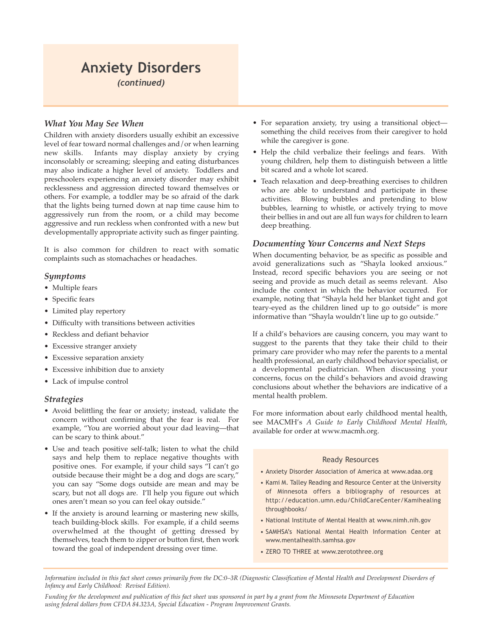### **Anxiety Disorders**  *(continued)*

### *What You May See When*

Children with anxiety disorders usually exhibit an excessive level of fear toward normal challenges and/or when learning new skills. Infants may display anxiety by crying inconsolably or screaming; sleeping and eating disturbances may also indicate a higher level of anxiety. Toddlers and preschoolers experiencing an anxiety disorder may exhibit recklessness and aggression directed toward themselves or others. For example, a toddler may be so afraid of the dark that the lights being turned down at nap time cause him to aggressively run from the room, or a child may become aggressive and run reckless when confronted with a new but developmentally appropriate activity such as finger painting.

It is also common for children to react with somatic complaints such as stomachaches or headaches.

### *Symptoms*

- Multiple fears
- Specific fears
- Limited play repertory
- Difficulty with transitions between activities
- Reckless and defiant behavior
- Excessive stranger anxiety
- Excessive separation anxiety
- Excessive inhibition due to anxiety
- Lack of impulse control

### *Strategies*

- Avoid belittling the fear or anxiety; instead, validate the concern without confirming that the fear is real. For example, "You are worried about your dad leaving—that can be scary to think about."
- Use and teach positive self-talk; listen to what the child says and help them to replace negative thoughts with positive ones. For example, if your child says "I can't go outside because their might be a dog and dogs are scary," you can say "Some dogs outside are mean and may be scary, but not all dogs are. I'll help you figure out which ones aren't mean so you can feel okay outside."
- If the anxiety is around learning or mastering new skills, teach building-block skills. For example, if a child seems overwhelmed at the thought of getting dressed by themselves, teach them to zipper or button first, then work toward the goal of independent dressing over time.
- For separation anxiety, try using a transitional object something the child receives from their caregiver to hold while the caregiver is gone.
- Help the child verbalize their feelings and fears. With young children, help them to distinguish between a little bit scared and a whole lot scared.
- Teach relaxation and deep-breathing exercises to children who are able to understand and participate in these activities. Blowing bubbles and pretending to blow bubbles, learning to whistle, or actively trying to move their bellies in and out are all fun ways for children to learn deep breathing.

### *Documenting Your Concerns and Next Steps*

When documenting behavior, be as specific as possible and avoid generalizations such as "Shayla looked anxious." Instead, record specific behaviors you are seeing or not seeing and provide as much detail as seems relevant. Also include the context in which the behavior occurred. For example, noting that "Shayla held her blanket tight and got teary-eyed as the children lined up to go outside" is more informative than "Shayla wouldn't line up to go outside."

If a child's behaviors are causing concern, you may want to suggest to the parents that they take their child to their primary care provider who may refer the parents to a mental health professional, an early childhood behavior specialist, or a developmental pediatrician. When discussing your concerns, focus on the child's behaviors and avoid drawing conclusions about whether the behaviors are indicative of a mental health problem.

For more information about early childhood mental health, see MACMH's *A Guide to Early Childhood Mental Health*, available for order at www.macmh.org.

#### Ready Resources

- Anxiety Disorder Association of America at www.adaa.org
- Kami M. Talley Reading and Resource Center at the University of Minnesota offers a bibliography of resources at http://education.umn.edu/ChildCareCenter/Kamihealing throughbooks/
- National Institute of Mental Health at www.nimh.nih.gov
- SAMHSA's National Mental Health Information Center at www.mentalhealth.samhsa.gov
- ZERO TO THREE at www.zerotothree.org

*Information included in this fact sheet comes primarily from the DC:0–3R (Diagnostic Classification of Mental Health and Development Disorders of Infancy and Early Childhood: Revised Edition).*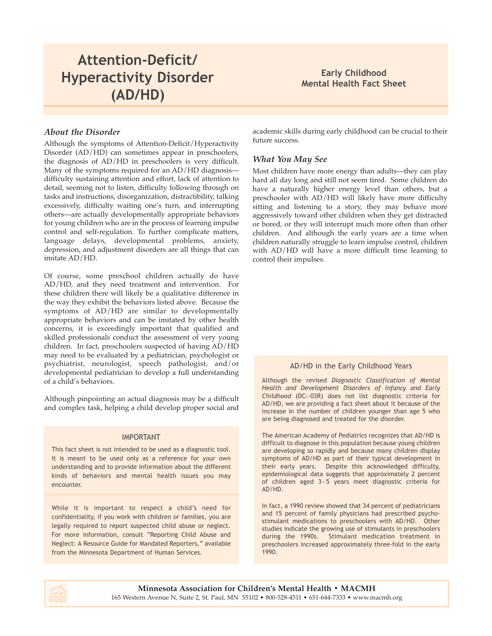# **Attention-Deficit/ Hyperactivity Disorder (AD/HD)**

### **Early Childhood Mental Health Fact Sheet**

### *About the Disorder*

Although the symptoms of Attention-Deficit/Hyperactivity Disorder (AD/HD) can sometimes appear in preschoolers, the diagnosis of AD/HD in preschoolers is very difficult. Many of the symptoms required for an AD/HD diagnosis difficulty sustaining attention and effort, lack of attention to detail, seeming not to listen, difficulty following through on tasks and instructions, disorganization, distractibility, talking excessively, difficulty waiting one's turn, and interrupting others—are actually developmentally appropriate behaviors for young children who are in the process of learning impulse control and self-regulation. To further complicate matters, language delays, developmental problems, anxiety, depression, and adjustment disorders are all things that can imitate AD/HD.

Of course, some preschool children actually do have AD/HD, and they need treatment and intervention. For these children there will likely be a qualitative difference in the way they exhibit the behaviors listed above. Because the symptoms of AD/HD are similar to developmentally appropriate behaviors and can be imitated by other health concerns, it is exceedingly important that qualified and skilled professionals conduct the assessment of very young children. In fact, preschoolers suspected of having AD/HD may need to be evaluated by a pediatrician, psychologist or psychiatrist, neurologist, speech pathologist, and/or developmental pediatrician to develop a full understanding of a child's behaviors.

Although pinpointing an actual diagnosis may be a difficult and complex task, helping a child develop proper social and

### IMPORTANT

This fact sheet is not intended to be used as a diagnostic tool. It is meant to be used only as a reference for your own understanding and to provide information about the different kinds of behaviors and mental health issues you may encounter.

While it is important to respect a child's need for confidentiality, if you work with children or families, you are legally required to report suspected child abuse or neglect. For more information, consult "Reporting Child Abuse and Neglect: A Resource Guide for Mandated Reporters," available from the Minnesota Department of Human Services.

academic skills during early childhood can be crucial to their future success.

### *What You May See*

Most children have more energy than adults—they can play hard all day long and still not seem tired. Some children do have a naturally higher energy level than others, but a preschooler with AD/HD will likely have more difficulty sitting and listening to a story, they may behave more aggressively toward other children when they get distracted or bored, or they will interrupt much more often than other children. And although the early years are a time when children naturally struggle to learn impulse control, children with AD/HD will have a more difficult time learning to control their impulses.

### AD/HD in the Early Childhood Years

Although the revised *Diagnostic Classification of Mental Health and Development Disorders of Infancy and Early Childhood* (DC:-03R) does not list diagnostic criteria for AD/HD, we are providing a fact sheet about it because of the increase in the number of children younger than age 5 who are being diagnosed and treated for the disorder.

The American Academy of Pediatrics recognizes that AD/HD is difficult to diagnose in this population because young children are developing so rapidly and because many children display symptoms of AD/HD as part of their typical development in their early years. Despite this acknowledged difficulty, epidemiological data suggests that approximately 2 percent of children aged 3—5 years meet diagnostic criteria for AD/HD.

In fact, a 1990 review showed that 34 percent of pediatricians and 15 percent of family physicians had prescribed psychostimulant medications to preschoolers with AD/HD. Other studies indicate the growing use of stimulants in preschoolers during the 1990s. Stimulant medication treatment in preschoolers increased approximately three-fold in the early 1990.

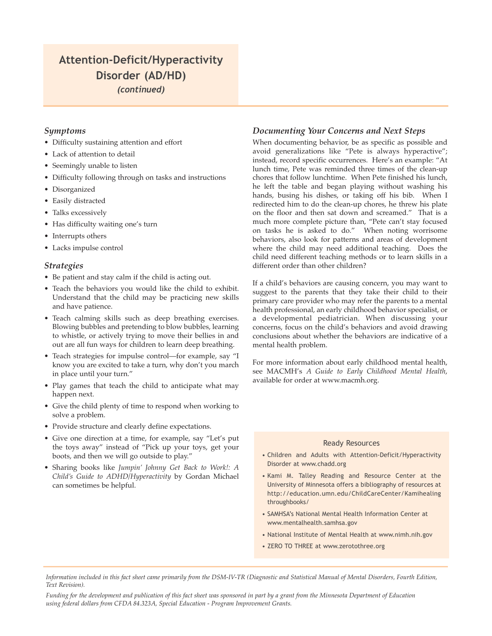### **Attention-Deficit/Hyperactivity Disorder (AD/HD)** *(continued)*

### *Symptoms*

- Difficulty sustaining attention and effort
- Lack of attention to detail
- Seemingly unable to listen
- Difficulty following through on tasks and instructions
- Disorganized
- Easily distracted
- Talks excessively
- Has difficulty waiting one's turn
- Interrupts others
- Lacks impulse control

### *Strategies*

- Be patient and stay calm if the child is acting out.
- Teach the behaviors you would like the child to exhibit. Understand that the child may be practicing new skills and have patience.
- Teach calming skills such as deep breathing exercises. Blowing bubbles and pretending to blow bubbles, learning to whistle, or actively trying to move their bellies in and out are all fun ways for children to learn deep breathing.
- Teach strategies for impulse control—for example, say "I know you are excited to take a turn, why don't you march in place until your turn."
- Play games that teach the child to anticipate what may happen next.
- Give the child plenty of time to respond when working to solve a problem.
- Provide structure and clearly define expectations.
- Give one direction at a time, for example, say "Let's put the toys away" instead of "Pick up your toys, get your boots, and then we will go outside to play."
- Sharing books like *Jumpin' Johnny Get Back to Work!: A Child's Guide to ADHD/Hyperactivity* by Gordan Michael can sometimes be helpful.

### *Documenting Your Concerns and Next Steps*

When documenting behavior, be as specific as possible and avoid generalizations like "Pete is always hyperactive"; instead, record specific occurrences. Here's an example: "At lunch time, Pete was reminded three times of the clean-up chores that follow lunchtime. When Pete finished his lunch, he left the table and began playing without washing his hands, busing his dishes, or taking off his bib. When I redirected him to do the clean-up chores, he threw his plate on the floor and then sat down and screamed." That is a much more complete picture than, "Pete can't stay focused on tasks he is asked to do." When noting worrisome behaviors, also look for patterns and areas of development where the child may need additional teaching. Does the child need different teaching methods or to learn skills in a different order than other children?

If a child's behaviors are causing concern, you may want to suggest to the parents that they take their child to their primary care provider who may refer the parents to a mental health professional, an early childhood behavior specialist, or a developmental pediatrician. When discussing your concerns, focus on the child's behaviors and avoid drawing conclusions about whether the behaviors are indicative of a mental health problem.

For more information about early childhood mental health, see MACMH's *A Guide to Early Childhood Mental Health*, available for order at www.macmh.org.

### Ready Resources

- Children and Adults with Attention-Deficit/Hyperactivity Disorder at www.chadd.org
- Kami M. Talley Reading and Resource Center at the University of Minnesota offers a bibliography of resources at http://education.umn.edu/ChildCareCenter/Kamihealing throughbooks/
- SAMHSA's National Mental Health Information Center at www.mentalhealth.samhsa.gov
- National Institute of Mental Health at www.nimh.nih.gov
- ZERO TO THREE at www.zerotothree.org

*Information included in this fact sheet came primarily from the DSM-IV-TR (Diagnostic and Statistical Manual of Mental Disorders, Fourth Edition, Text Revision).*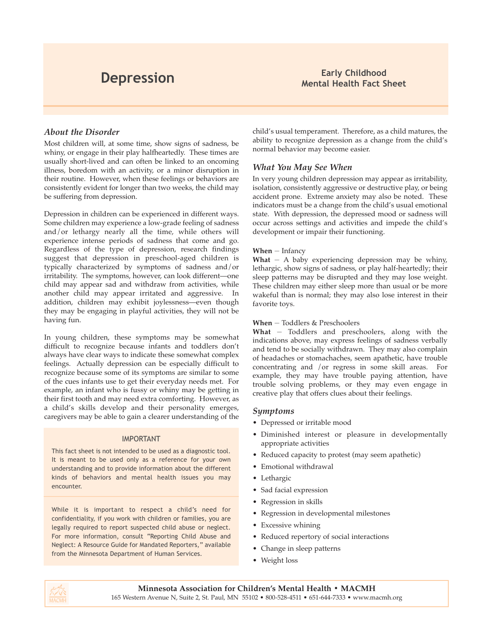### *About the Disorder*

Most children will, at some time, show signs of sadness, be whiny, or engage in their play halfheartedly. These times are usually short-lived and can often be linked to an oncoming illness, boredom with an activity, or a minor disruption in their routine. However, when these feelings or behaviors are consistently evident for longer than two weeks, the child may be suffering from depression.

Depression in children can be experienced in different ways. Some children may experience a low-grade feeling of sadness and/or lethargy nearly all the time, while others will experience intense periods of sadness that come and go. Regardless of the type of depression, research findings suggest that depression in preschool-aged children is typically characterized by symptoms of sadness and/or irritability. The symptoms, however, can look different—one child may appear sad and withdraw from activities, while another child may appear irritated and aggressive. In addition, children may exhibit joylessness—even though they may be engaging in playful activities, they will not be having fun.

In young children, these symptoms may be somewhat difficult to recognize because infants and toddlers don't always have clear ways to indicate these somewhat complex feelings. Actually depression can be especially difficult to recognize because some of its symptoms are similar to some of the cues infants use to get their everyday needs met. For example, an infant who is fussy or whiny may be getting in their first tooth and may need extra comforting. However, as a child's skills develop and their personality emerges, caregivers may be able to gain a clearer understanding of the

### IMPORTANT

This fact sheet is not intended to be used as a diagnostic tool. It is meant to be used only as a reference for your own understanding and to provide information about the different kinds of behaviors and mental health issues you may encounter.

While it is important to respect a child's need for confidentiality, if you work with children or families, you are legally required to report suspected child abuse or neglect. For more information, consult "Reporting Child Abuse and Neglect: A Resource Guide for Mandated Reporters," available from the Minnesota Department of Human Services.

child's usual temperament. Therefore, as a child matures, the ability to recognize depression as a change from the child's normal behavior may become easier.

### *What You May See When*

In very young children depression may appear as irritability, isolation, consistently aggressive or destructive play, or being accident prone. Extreme anxiety may also be noted. These indicators must be a change from the child's usual emotional state. With depression, the depressed mood or sadness will occur across settings and activities and impede the child's development or impair their functioning.

### **When** — Infancy

**What**  $-$  A baby experiencing depression may be whiny, lethargic, show signs of sadness, or play half-heartedly; their sleep patterns may be disrupted and they may lose weight. These children may either sleep more than usual or be more wakeful than is normal; they may also lose interest in their favorite toys.

### **When** — Toddlers & Preschoolers

**What** — Toddlers and preschoolers, along with the indications above, may express feelings of sadness verbally and tend to be socially withdrawn. They may also complain of headaches or stomachaches, seem apathetic, have trouble concentrating and /or regress in some skill areas. For example, they may have trouble paying attention, have trouble solving problems, or they may even engage in creative play that offers clues about their feelings.

### *Symptoms*

- Depressed or irritable mood
- Diminished interest or pleasure in developmentally appropriate activities
- Reduced capacity to protest (may seem apathetic)
- Emotional withdrawal
- Lethargic
- Sad facial expression
- Regression in skills
- Regression in developmental milestones
- Excessive whining
- Reduced repertory of social interactions
- Change in sleep patterns
- Weight loss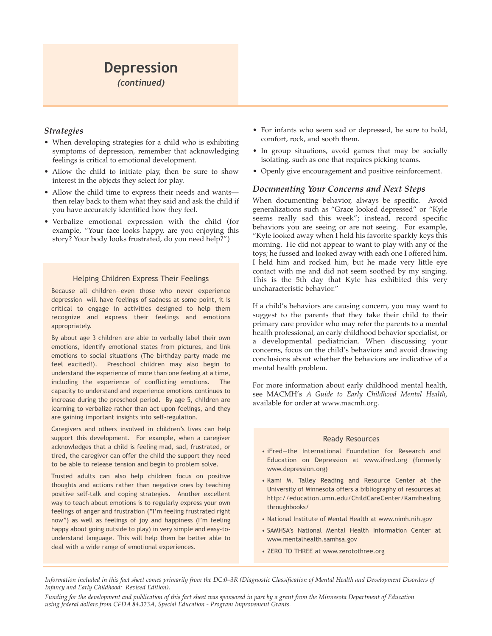# **Depression**

*(continued)*

### *Strategies*

- When developing strategies for a child who is exhibiting symptoms of depression, remember that acknowledging feelings is critical to emotional development.
- Allow the child to initiate play, then be sure to show interest in the objects they select for play.
- Allow the child time to express their needs and wants then relay back to them what they said and ask the child if you have accurately identified how they feel.
- Verbalize emotional expression with the child (for example, "Your face looks happy, are you enjoying this story? Your body looks frustrated, do you need help?")

### Helping Children Express Their Feelings

Because all children—even those who never experience depression—will have feelings of sadness at some point, it is critical to engage in activities designed to help them recognize and express their feelings and emotions appropriately.

By about age 3 children are able to verbally label their own emotions, identify emotional states from pictures, and link emotions to social situations (The birthday party made me feel excited!). Preschool children may also begin to understand the experience of more than one feeling at a time, including the experience of conflicting emotions. The capacity to understand and experience emotions continues to increase during the preschool period. By age 5, children are learning to verbalize rather than act upon feelings, and they are gaining important insights into self-regulation.

Caregivers and others involved in children's lives can help support this development. For example, when a caregiver acknowledges that a child is feeling mad, sad, frustrated, or tired, the caregiver can offer the child the support they need to be able to release tension and begin to problem solve.

Trusted adults can also help children focus on positive thoughts and actions rather than negative ones by teaching positive self-talk and coping strategies. Another excellent way to teach about emotions is to regularly express your own feelings of anger and frustration ("I'm feeling frustrated right now") as well as feelings of joy and happiness (I'm feeling happy about going outside to play) in very simple and easy-tounderstand language. This will help them be better able to deal with a wide range of emotional experiences.

- For infants who seem sad or depressed, be sure to hold, comfort, rock, and sooth them.
- In group situations, avoid games that may be socially isolating, such as one that requires picking teams.
- Openly give encouragement and positive reinforcement.

### *Documenting Your Concerns and Next Steps*

When documenting behavior, always be specific. Avoid generalizations such as "Grace looked depressed" or "Kyle seems really sad this week"; instead, record specific behaviors you are seeing or are not seeing. For example, "Kyle looked away when I held his favorite sparkly keys this morning. He did not appear to want to play with any of the toys; he fussed and looked away with each one I offered him. I held him and rocked him, but he made very little eye contact with me and did not seem soothed by my singing. This is the 5th day that Kyle has exhibited this very uncharacteristic behavior."

If a child's behaviors are causing concern, you may want to suggest to the parents that they take their child to their primary care provider who may refer the parents to a mental health professional, an early childhood behavior specialist, or a developmental pediatrician. When discussing your concerns, focus on the child's behaviors and avoid drawing conclusions about whether the behaviors are indicative of a mental health problem.

For more information about early childhood mental health, see MACMH's *A Guide to Early Childhood Mental Health*, available for order at www.macmh.org.

### Ready Resources

- iFred—the International Foundation for Research and Education on Depression at www.ifred.org (formerly www.depression.org)
- Kami M. Talley Reading and Resource Center at the University of Minnesota offers a bibliography of resources at http://education.umn.edu/ChildCareCenter/Kamihealing throughbooks/
- National Institute of Mental Health at www.nimh.nih.gov
- SAMHSA's National Mental Health Information Center at www.mentalhealth.samhsa.gov
- ZERO TO THREE at www.zerotothree.org

*Information included in this fact sheet comes primarily from the DC:0–3R (Diagnostic Classification of Mental Health and Development Disorders of Infancy and Early Childhood: Revised Edition).*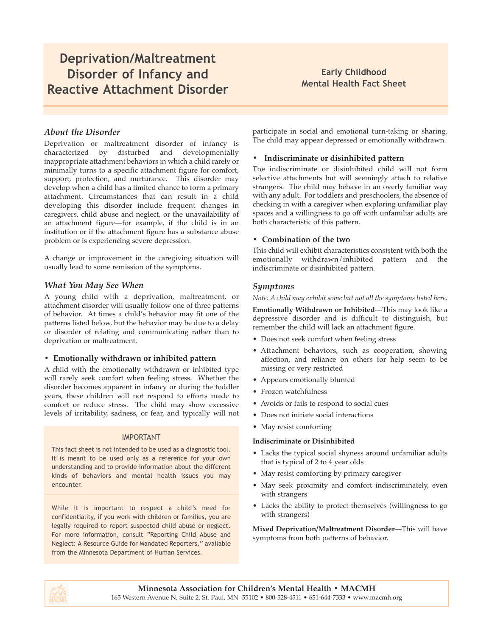### **Deprivation/Maltreatment Disorder of Infancy and Reactive Attachment Disorder**

### **Early Childhood Mental Health Fact Sheet**

### *About the Disorder*

Deprivation or maltreatment disorder of infancy is characterized by disturbed and developmentally inappropriate attachment behaviors in which a child rarely or minimally turns to a specific attachment figure for comfort, support, protection, and nurturance. This disorder may develop when a child has a limited chance to form a primary attachment. Circumstances that can result in a child developing this disorder include frequent changes in caregivers, child abuse and neglect, or the unavailability of an attachment figure—for example, if the child is in an institution or if the attachment figure has a substance abuse problem or is experiencing severe depression.

A change or improvement in the caregiving situation will usually lead to some remission of the symptoms.

### *What You May See When*

A young child with a deprivation, maltreatment, or attachment disorder will usually follow one of three patterns of behavior. At times a child's behavior may fit one of the patterns listed below, but the behavior may be due to a delay or disorder of relating and communicating rather than to deprivation or maltreatment.

### **• Emotionally withdrawn or inhibited pattern**

A child with the emotionally withdrawn or inhibited type will rarely seek comfort when feeling stress. Whether the disorder becomes apparent in infancy or during the toddler years, these children will not respond to efforts made to comfort or reduce stress. The child may show excessive levels of irritability, sadness, or fear, and typically will not

### IMPORTANT

This fact sheet is not intended to be used as a diagnostic tool. It is meant to be used only as a reference for your own understanding and to provide information about the different kinds of behaviors and mental health issues you may encounter.

While it is important to respect a child's need for confidentiality, if you work with children or families, you are legally required to report suspected child abuse or neglect. For more information, consult "Reporting Child Abuse and Neglect: A Resource Guide for Mandated Reporters," available from the Minnesota Department of Human Services.

participate in social and emotional turn-taking or sharing. The child may appear depressed or emotionally withdrawn.

### **• Indiscriminate or disinhibited pattern**

The indiscriminate or disinhibited child will not form selective attachments but will seemingly attach to relative strangers. The child may behave in an overly familiar way with any adult. For toddlers and preschoolers, the absence of checking in with a caregiver when exploring unfamiliar play spaces and a willingness to go off with unfamiliar adults are both characteristic of this pattern.

### **• Combination of the two**

This child will exhibit characteristics consistent with both the emotionally withdrawn/inhibited pattern and the indiscriminate or disinhibited pattern.

### *Symptoms*

### *Note: A child may exhibit some but not all the symptoms listed here.*

**Emotionally Withdrawn or Inhibited**—This may look like a depressive disorder and is difficult to distinguish, but remember the child will lack an attachment figure.

- Does not seek comfort when feeling stress
- Attachment behaviors, such as cooperation, showing affection, and reliance on others for help seem to be missing or very restricted
- Appears emotionally blunted
- Frozen watchfulness
- Avoids or fails to respond to social cues
- Does not initiate social interactions
- May resist comforting

### **Indiscriminate or Disinhibited**

- Lacks the typical social shyness around unfamiliar adults that is typical of 2 to 4 year olds
- May resist comforting by primary caregiver
- May seek proximity and comfort indiscriminately, even with strangers
- Lacks the ability to protect themselves (willingness to go with strangers)

**Mixed Deprivation/Maltreatment Disorder**—This will have symptoms from both patterns of behavior.

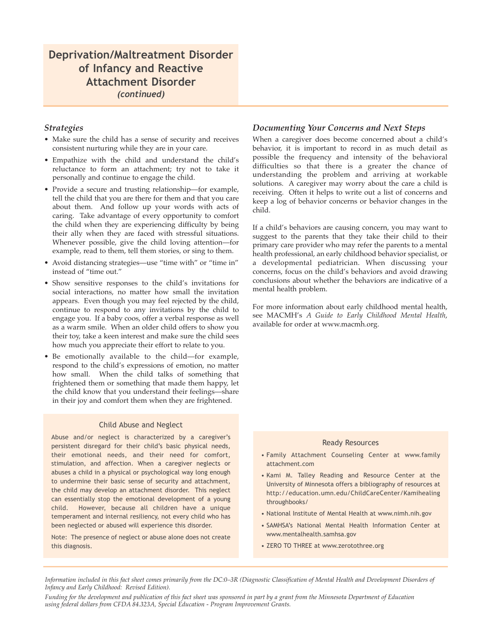### **Deprivation/Maltreatment Disorder of Infancy and Reactive Attachment Disorder** *(continued)*

### *Strategies*

- Make sure the child has a sense of security and receives consistent nurturing while they are in your care.
- Empathize with the child and understand the child's reluctance to form an attachment; try not to take it personally and continue to engage the child.
- Provide a secure and trusting relationship—for example, tell the child that you are there for them and that you care about them. And follow up your words with acts of caring. Take advantage of every opportunity to comfort the child when they are experiencing difficulty by being their ally when they are faced with stressful situations. Whenever possible, give the child loving attention—for example, read to them, tell them stories, or sing to them.
- Avoid distancing strategies—use "time with" or "time in" instead of "time out."
- Show sensitive responses to the child's invitations for social interactions, no matter how small the invitation appears. Even though you may feel rejected by the child, continue to respond to any invitations by the child to engage you. If a baby coos, offer a verbal response as well as a warm smile. When an older child offers to show you their toy, take a keen interest and make sure the child sees how much you appreciate their effort to relate to you.
- Be emotionally available to the child—for example, respond to the child's expressions of emotion, no matter how small. When the child talks of something that frightened them or something that made them happy, let the child know that you understand their feelings—share in their joy and comfort them when they are frightened.

### Child Abuse and Neglect

Abuse and/or neglect is characterized by a caregiver's persistent disregard for their child's basic physical needs, their emotional needs, and their need for comfort, stimulation, and affection. When a caregiver neglects or abuses a child in a physical or psychological way long enough to undermine their basic sense of security and attachment, the child may develop an attachment disorder. This neglect can essentially stop the emotional development of a young child. However, because all children have a unique temperament and internal resiliency, not every child who has been neglected or abused will experience this disorder.

Note: The presence of neglect or abuse alone does not create this diagnosis.

### *Documenting Your Concerns and Next Steps*

When a caregiver does become concerned about a child's behavior, it is important to record in as much detail as possible the frequency and intensity of the behavioral difficulties so that there is a greater the chance of understanding the problem and arriving at workable solutions. A caregiver may worry about the care a child is receiving. Often it helps to write out a list of concerns and keep a log of behavior concerns or behavior changes in the child.

If a child's behaviors are causing concern, you may want to suggest to the parents that they take their child to their primary care provider who may refer the parents to a mental health professional, an early childhood behavior specialist, or a developmental pediatrician. When discussing your concerns, focus on the child's behaviors and avoid drawing conclusions about whether the behaviors are indicative of a mental health problem.

For more information about early childhood mental health, see MACMH's *A Guide to Early Childhood Mental Health*, available for order at www.macmh.org.

### Ready Resources

- Family Attachment Counseling Center at www.family attachment.com
- Kami M. Talley Reading and Resource Center at the University of Minnesota offers a bibliography of resources at http://education.umn.edu/ChildCareCenter/Kamihealing throughbooks/
- National Institute of Mental Health at www.nimh.nih.gov
- SAMHSA's National Mental Health Information Center at www.mentalhealth.samhsa.gov
- ZERO TO THREE at www.zerotothree.org

*Information included in this fact sheet comes primarily from the DC:0–3R (Diagnostic Classification of Mental Health and Development Disorders of Infancy and Early Childhood: Revised Edition).*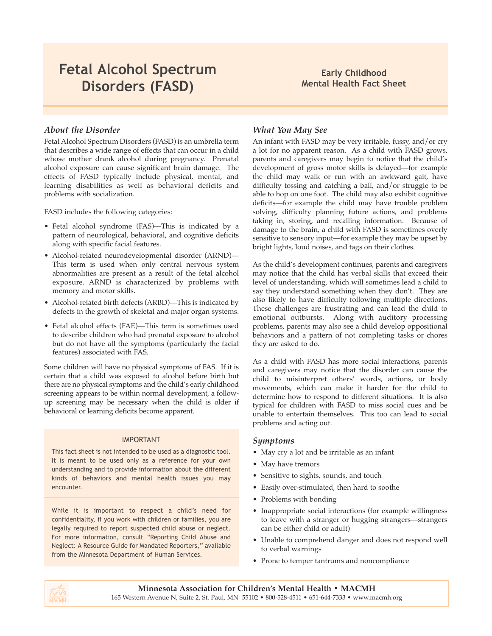# **Fetal Alcohol Spectrum Disorders (FASD)**

### **Early Childhood Mental Health Fact Sheet**

### *About the Disorder*

Fetal Alcohol Spectrum Disorders (FASD) is an umbrella term that describes a wide range of effects that can occur in a child whose mother drank alcohol during pregnancy. Prenatal alcohol exposure can cause significant brain damage. The effects of FASD typically include physical, mental, and learning disabilities as well as behavioral deficits and problems with socialization.

FASD includes the following categories:

- Fetal alcohol syndrome (FAS)—This is indicated by a pattern of neurological, behavioral, and cognitive deficits along with specific facial features.
- Alcohol-related neurodevelopmental disorder (ARND)— This term is used when only central nervous system abnormalities are present as a result of the fetal alcohol exposure. ARND is characterized by problems with memory and motor skills.
- Alcohol-related birth defects (ARBD)—This is indicated by defects in the growth of skeletal and major organ systems.
- Fetal alcohol effects (FAE)—This term is sometimes used to describe children who had prenatal exposure to alcohol but do not have all the symptoms (particularly the facial features) associated with FAS.

Some children will have no physical symptoms of FAS. If it is certain that a child was exposed to alcohol before birth but there are no physical symptoms and the child's early childhood screening appears to be within normal development, a followup screening may be necessary when the child is older if behavioral or learning deficits become apparent.

### IMPORTANT

This fact sheet is not intended to be used as a diagnostic tool. It is meant to be used only as a reference for your own understanding and to provide information about the different kinds of behaviors and mental health issues you may encounter.

While it is important to respect a child's need for confidentiality, if you work with children or families, you are legally required to report suspected child abuse or neglect. For more information, consult "Reporting Child Abuse and Neglect: A Resource Guide for Mandated Reporters," available from the Minnesota Department of Human Services.

### *What You May See*

An infant with FASD may be very irritable, fussy, and/or cry a lot for no apparent reason. As a child with FASD grows, parents and caregivers may begin to notice that the child's development of gross motor skills is delayed—for example the child may walk or run with an awkward gait, have difficulty tossing and catching a ball, and/or struggle to be able to hop on one foot. The child may also exhibit cognitive deficits—for example the child may have trouble problem solving, difficulty planning future actions, and problems taking in, storing, and recalling information. Because of damage to the brain, a child with FASD is sometimes overly sensitive to sensory input—for example they may be upset by bright lights, loud noises, and tags on their clothes.

As the child's development continues, parents and caregivers may notice that the child has verbal skills that exceed their level of understanding, which will sometimes lead a child to say they understand something when they don't. They are also likely to have difficulty following multiple directions. These challenges are frustrating and can lead the child to emotional outbursts. Along with auditory processing problems, parents may also see a child develop oppositional behaviors and a pattern of not completing tasks or chores they are asked to do.

As a child with FASD has more social interactions, parents and caregivers may notice that the disorder can cause the child to misinterpret others' words, actions, or body movements, which can make it harder for the child to determine how to respond to different situations. It is also typical for children with FASD to miss social cues and be unable to entertain themselves. This too can lead to social problems and acting out.

### *Symptoms*

- May cry a lot and be irritable as an infant
- May have tremors
- Sensitive to sights, sounds, and touch
- Easily over-stimulated, then hard to soothe
- Problems with bonding
- Inappropriate social interactions (for example willingness to leave with a stranger or hugging strangers—strangers can be either child or adult)
- Unable to comprehend danger and does not respond well to verbal warnings
- Prone to temper tantrums and noncompliance

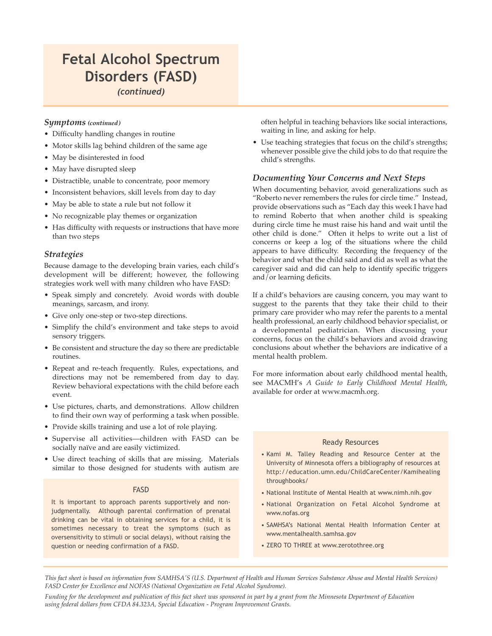# **Fetal Alcohol Spectrum Disorders (FASD)**

*(continued)*

### *Symptoms (continued)*

- Difficulty handling changes in routine
- Motor skills lag behind children of the same age
- May be disinterested in food
- May have disrupted sleep
- Distractible, unable to concentrate, poor memory
- Inconsistent behaviors, skill levels from day to day
- May be able to state a rule but not follow it
- No recognizable play themes or organization
- Has difficulty with requests or instructions that have more than two steps

### *Strategies*

Because damage to the developing brain varies, each child's development will be different; however, the following strategies work well with many children who have FASD:

- Speak simply and concretely. Avoid words with double meanings, sarcasm, and irony.
- Give only one-step or two-step directions.
- Simplify the child's environment and take steps to avoid sensory triggers.
- Be consistent and structure the day so there are predictable routines.
- Repeat and re-teach frequently. Rules, expectations, and directions may not be remembered from day to day. Review behavioral expectations with the child before each event.
- Use pictures, charts, and demonstrations. Allow children to find their own way of performing a task when possible.
- Provide skills training and use a lot of role playing.
- Supervise all activities—children with FASD can be socially naïve and are easily victimized.
- Use direct teaching of skills that are missing. Materials similar to those designed for students with autism are

### FASD

It is important to approach parents supportively and nonjudgmentally. Although parental confirmation of prenatal drinking can be vital in obtaining services for a child, it is sometimes necessary to treat the symptoms (such as oversensitivity to stimuli or social delays), without raising the question or needing confirmation of a FASD.

often helpful in teaching behaviors like social interactions, waiting in line, and asking for help.

• Use teaching strategies that focus on the child's strengths; whenever possible give the child jobs to do that require the child's strengths.

### *Documenting Your Concerns and Next Steps*

When documenting behavior, avoid generalizations such as "Roberto never remembers the rules for circle time." Instead, provide observations such as "Each day this week I have had to remind Roberto that when another child is speaking during circle time he must raise his hand and wait until the other child is done." Often it helps to write out a list of concerns or keep a log of the situations where the child appears to have difficulty. Recording the frequency of the behavior and what the child said and did as well as what the caregiver said and did can help to identify specific triggers and/or learning deficits.

If a child's behaviors are causing concern, you may want to suggest to the parents that they take their child to their primary care provider who may refer the parents to a mental health professional, an early childhood behavior specialist, or a developmental pediatrician. When discussing your concerns, focus on the child's behaviors and avoid drawing conclusions about whether the behaviors are indicative of a mental health problem.

For more information about early childhood mental health, see MACMH's *A Guide to Early Childhood Mental Health*, available for order at www.macmh.org.

### Ready Resources

- Kami M. Talley Reading and Resource Center at the University of Minnesota offers a bibliography of resources at http://education.umn.edu/ChildCareCenter/Kamihealing throughbooks/
- National Institute of Mental Health at www.nimh.nih.gov
- National Organization on Fetal Alcohol Syndrome at www.nofas.org
- SAMHSA's National Mental Health Information Center at www.mentalhealth.samhsa.gov
- ZERO TO THREE at www.zerotothree.org

*This fact sheet is based on information from SAMHSA'S (U.S. Department of Health and Human Services Substance Abuse and Mental Health Services) FASD Center for Excellence and NOFAS (National Organization on Fetal Alcohol Syndrome).*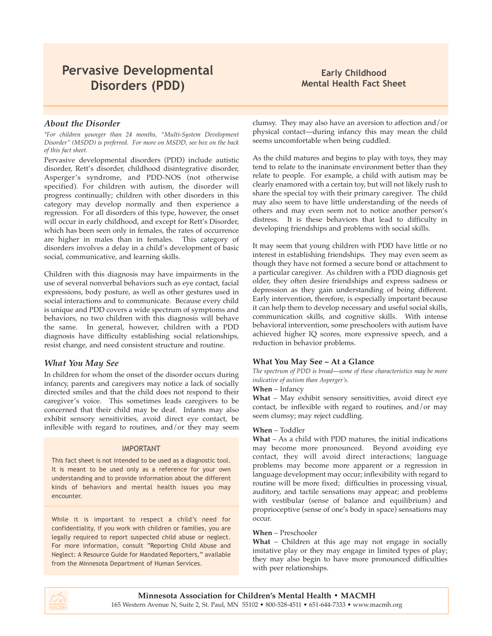# **Pervasive Developmental Disorders (PDD)**

### **Early Childhood Mental Health Fact Sheet**

### *About the Disorder*

*\*For children younger than 24 months, "Multi-System Development Disorder" (MSDD) is preferred. For more on MSDD, see box on the back of this fact sheet.*

Pervasive developmental disorders (PDD) include autistic disorder, Rett's disorder, childhood disintegrative disorder, Asperger's syndrome, and PDD-NOS (not otherwise specified). For children with autism, the disorder will progress continually; children with other disorders in this category may develop normally and then experience a regression. For all disorders of this type, however, the onset will occur in early childhood, and except for Rett's Disorder, which has been seen only in females, the rates of occurrence are higher in males than in females. This category of disorders involves a delay in a child's development of basic social, communicative, and learning skills.

Children with this diagnosis may have impairments in the use of several nonverbal behaviors such as eye contact, facial expressions, body posture, as well as other gestures used in social interactions and to communicate. Because every child is unique and PDD covers a wide spectrum of symptoms and behaviors, no two children with this diagnosis will behave the same. In general, however, children with a PDD diagnosis have difficulty establishing social relationships, resist change, and need consistent structure and routine.

### *What You May See*

In children for whom the onset of the disorder occurs during infancy, parents and caregivers may notice a lack of socially directed smiles and that the child does not respond to their caregiver's voice. This sometimes leads caregivers to be concerned that their child may be deaf. Infants may also exhibit sensory sensitivities, avoid direct eye contact, be inflexible with regard to routines, and/or they may seem

### IMPORTANT

This fact sheet is not intended to be used as a diagnostic tool. It is meant to be used only as a reference for your own understanding and to provide information about the different kinds of behaviors and mental health issues you may encounter.

While it is important to respect a child's need for confidentiality, if you work with children or families, you are legally required to report suspected child abuse or neglect. For more information, consult "Reporting Child Abuse and Neglect: A Resource Guide for Mandated Reporters," available from the Minnesota Department of Human Services.

clumsy. They may also have an aversion to affection and/or physical contact—during infancy this may mean the child seems uncomfortable when being cuddled.

As the child matures and begins to play with toys, they may tend to relate to the inanimate environment better than they relate to people. For example, a child with autism may be clearly enamored with a certain toy, but will not likely rush to share the special toy with their primary caregiver. The child may also seem to have little understanding of the needs of others and may even seem not to notice another person's distress. It is these behaviors that lead to difficulty in developing friendships and problems with social skills.

It may seem that young children with PDD have little or no interest in establishing friendships. They may even seem as though they have not formed a secure bond or attachment to a particular caregiver. As children with a PDD diagnosis get older, they often desire friendships and express sadness or depression as they gain understanding of being different. Early intervention, therefore, is especially important because it can help them to develop necessary and useful social skills, communication skills, and cognitive skills. With intense behavioral intervention, some preschoolers with autism have achieved higher IQ scores, more expressive speech, and a reduction in behavior problems.

### **What You May See – At a Glance**

*The spectrum of PDD is broad*—*some of these characteristics may be more indicative of autism than Asperger's.*

### **When** – Infancy

**What** – May exhibit sensory sensitivities, avoid direct eye contact, be inflexible with regard to routines, and/or may seem clumsy; may reject cuddling.

### **When** – Toddler

**What** – As a child with PDD matures, the initial indications may become more pronounced. Beyond avoiding eye contact, they will avoid direct interactions; language problems may become more apparent or a regression in language development may occur; inflexibility with regard to routine will be more fixed; difficulties in processing visual, auditory, and tactile sensations may appear; and problems with vestibular (sense of balance and equilibrium) and proprioceptive (sense of one's body in space) sensations may occur.

### **When** – Preschooler

**What** – Children at this age may not engage in socially imitative play or they may engage in limited types of play; they may also begin to have more pronounced difficulties with peer relationships.

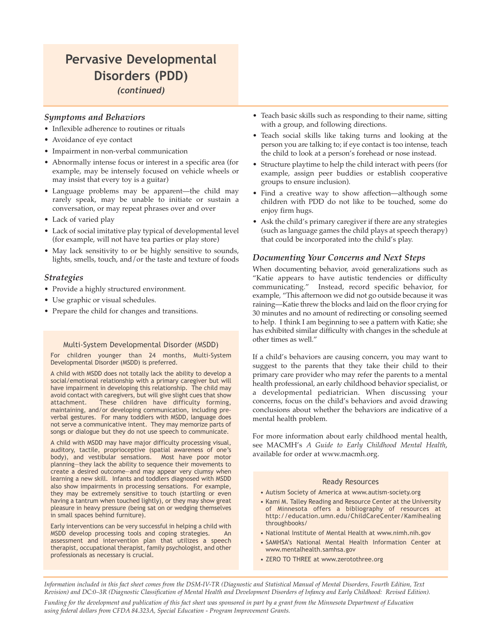### **Pervasive Developmental Disorders (PDD)** *(continued)*

### *Symptoms and Behaviors*

- Inflexible adherence to routines or rituals
- Avoidance of eye contact
- Impairment in non-verbal communication
- Abnormally intense focus or interest in a specific area (for example, may be intensely focused on vehicle wheels or may insist that every toy is a guitar)
- Language problems may be apparent—the child may rarely speak, may be unable to initiate or sustain a conversation, or may repeat phrases over and over
- Lack of varied play
- Lack of social imitative play typical of developmental level (for example, will not have tea parties or play store)
- May lack sensitivity to or be highly sensitive to sounds, lights, smells, touch, and/or the taste and texture of foods

### *Strategies*

- Provide a highly structured environment.
- Use graphic or visual schedules.
- Prepare the child for changes and transitions.

### Multi-System Developmental Disorder (MSDD)

For children younger than 24 months, Multi-System Developmental Disorder (MSDD) is preferred.

A child with MSDD does not totally lack the ability to develop a social/emotional relationship with a primary caregiver but will have impairment in developing this relationship. The child may avoid contact with caregivers, but will give slight cues that show attachment. These children have difficulty forming, maintaining, and/or developing communication, including preverbal gestures. For many toddlers with MSDD, language does not serve a communicative intent. They may memorize parts of songs or dialogue but they do not use speech to communicate.

A child with MSDD may have major difficulty processing visual, auditory, tactile, proprioceptive (spatial awareness of one's body), and vestibular sensations. Most have poor motor planning—they lack the ability to sequence their movements to create a desired outcome—and may appear very clumsy when learning a new skill. Infants and toddlers diagnosed with MSDD also show impairments in processing sensations. For example, they may be extremely sensitive to touch (startling or even having a tantrum when touched lightly), or they may show great pleasure in heavy pressure (being sat on or wedging themselves in small spaces behind furniture).

Early interventions can be very successful in helping a child with MSDD develop processing tools and coping strategies. assessment and intervention plan that utilizes a speech therapist, occupational therapist, family psychologist, and other professionals as necessary is crucial.

- Teach basic skills such as responding to their name, sitting with a group, and following directions.
- Teach social skills like taking turns and looking at the person you are talking to; if eye contact is too intense, teach the child to look at a person's forehead or nose instead.
- Structure playtime to help the child interact with peers (for example, assign peer buddies or establish cooperative groups to ensure inclusion).
- Find a creative way to show affection—although some children with PDD do not like to be touched, some do enjoy firm hugs.
- Ask the child's primary caregiver if there are any strategies (such as language games the child plays at speech therapy) that could be incorporated into the child's play.

### *Documenting Your Concerns and Next Steps*

When documenting behavior, avoid generalizations such as "Katie appears to have autistic tendencies or difficulty communicating." Instead, record specific behavior, for example, "This afternoon we did not go outside because it was raining—Katie threw the blocks and laid on the floor crying for 30 minutes and no amount of redirecting or consoling seemed to help. I think I am beginning to see a pattern with Katie; she has exhibited similar difficulty with changes in the schedule at other times as well."

If a child's behaviors are causing concern, you may want to suggest to the parents that they take their child to their primary care provider who may refer the parents to a mental health professional, an early childhood behavior specialist, or a developmental pediatrician. When discussing your concerns, focus on the child's behaviors and avoid drawing conclusions about whether the behaviors are indicative of a mental health problem.

For more information about early childhood mental health, see MACMH's *A Guide to Early Childhood Mental Health*, available for order at www.macmh.org.

### Ready Resources

- Autism Society of America at www.autism-society.org
- Kami M. Talley Reading and Resource Center at the University of Minnesota offers a bibliography of resources at http://education.umn.edu/ChildCareCenter/Kamihealing throughbooks/
- National Institute of Mental Health at www.nimh.nih.gov
- SAMHSA's National Mental Health Information Center at www.mentalhealth.samhsa.gov
- ZERO TO THREE at www.zerotothree.org

*Information included in this fact sheet comes from the DSM-IV-TR (Diagnostic and Statistical Manual of Mental Disorders, Fourth Edition, Text Revision) and DC:0–3R (Diagnostic Classification of Mental Health and Development Disorders of Infancy and Early Childhood: Revised Edition).*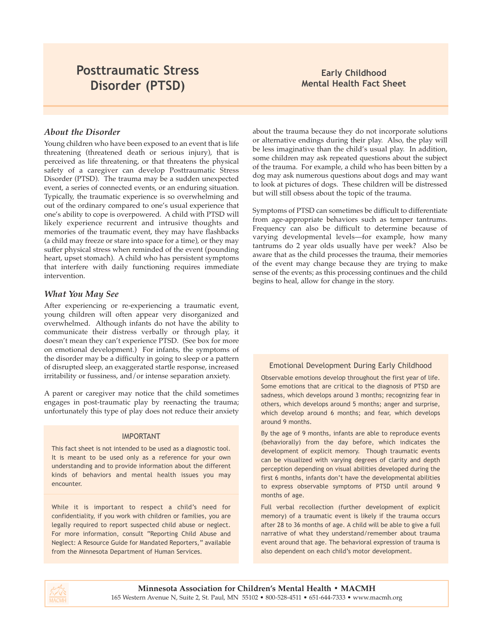# **Posttraumatic Stress Disorder (PTSD)**

### **Early Childhood Mental Health Fact Sheet**

### *About the Disorder*

Young children who have been exposed to an event that is life threatening (threatened death or serious injury), that is perceived as life threatening, or that threatens the physical safety of a caregiver can develop Posttraumatic Stress Disorder (PTSD). The trauma may be a sudden unexpected event, a series of connected events, or an enduring situation. Typically, the traumatic experience is so overwhelming and out of the ordinary compared to one's usual experience that one's ability to cope is overpowered. A child with PTSD will likely experience recurrent and intrusive thoughts and memories of the traumatic event, they may have flashbacks (a child may freeze or stare into space for a time), or they may suffer physical stress when reminded of the event (pounding heart, upset stomach). A child who has persistent symptoms that interfere with daily functioning requires immediate intervention.

### *What You May See*

After experiencing or re-experiencing a traumatic event, young children will often appear very disorganized and overwhelmed. Although infants do not have the ability to communicate their distress verbally or through play, it doesn't mean they can't experience PTSD. (See box for more on emotional development.) For infants, the symptoms of the disorder may be a difficulty in going to sleep or a pattern of disrupted sleep, an exaggerated startle response, increased irritability or fussiness, and/or intense separation anxiety.

A parent or caregiver may notice that the child sometimes engages in post-traumatic play by reenacting the trauma; unfortunately this type of play does not reduce their anxiety

### IMPORTANT

This fact sheet is not intended to be used as a diagnostic tool. It is meant to be used only as a reference for your own understanding and to provide information about the different kinds of behaviors and mental health issues you may encounter.

While it is important to respect a child's need for confidentiality, if you work with children or families, you are legally required to report suspected child abuse or neglect. For more information, consult "Reporting Child Abuse and Neglect: A Resource Guide for Mandated Reporters," available from the Minnesota Department of Human Services.

about the trauma because they do not incorporate solutions or alternative endings during their play. Also, the play will be less imaginative than the child's usual play. In addition, some children may ask repeated questions about the subject of the trauma. For example, a child who has been bitten by a dog may ask numerous questions about dogs and may want to look at pictures of dogs. These children will be distressed but will still obsess about the topic of the trauma.

Symptoms of PTSD can sometimes be difficult to differentiate from age-appropriate behaviors such as temper tantrums. Frequency can also be difficult to determine because of varying developmental levels—for example, how many tantrums do 2 year olds usually have per week? Also be aware that as the child processes the trauma, their memories of the event may change because they are trying to make sense of the events; as this processing continues and the child begins to heal, allow for change in the story.

### Emotional Development During Early Childhood

Observable emotions develop throughout the first year of life. Some emotions that are critical to the diagnosis of PTSD are sadness, which develops around 3 months; recognizing fear in others, which develops around 5 months; anger and surprise, which develop around 6 months; and fear, which develops around 9 months.

By the age of 9 months, infants are able to reproduce events (behaviorally) from the day before, which indicates the development of explicit memory. Though traumatic events can be visualized with varying degrees of clarity and depth perception depending on visual abilities developed during the first 6 months, infants don't have the developmental abilities to express observable symptoms of PTSD until around 9 months of age.

Full verbal recollection (further development of explicit memory) of a traumatic event is likely if the trauma occurs after 28 to 36 months of age. A child will be able to give a full narrative of what they understand/remember about trauma event around that age. The behavioral expression of trauma is also dependent on each child's motor development.

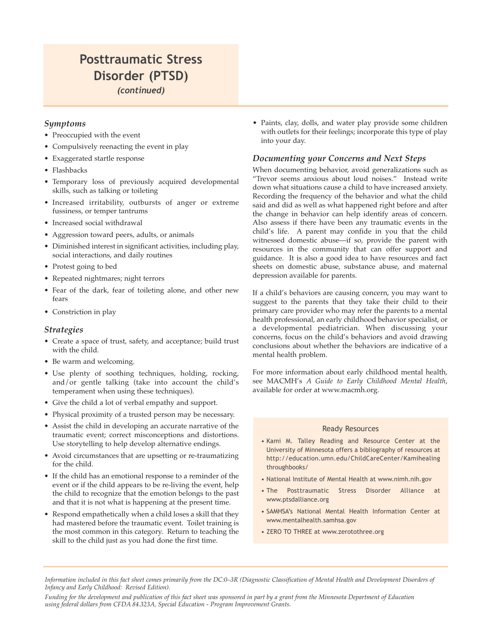### **Posttraumatic Stress Disorder (PTSD)** *(continued)*

### *Symptoms*

- Preoccupied with the event
- Compulsively reenacting the event in play
- Exaggerated startle response
- Flashbacks
- Temporary loss of previously acquired developmental skills, such as talking or toileting
- Increased irritability, outbursts of anger or extreme fussiness, or temper tantrums
- Increased social withdrawal
- Aggression toward peers, adults, or animals
- Diminished interest in significant activities, including play, social interactions, and daily routines
- Protest going to bed
- Repeated nightmares; night terrors
- Fear of the dark, fear of toileting alone, and other new fears
- Constriction in play

### *Strategies*

- Create a space of trust, safety, and acceptance; build trust with the child.
- Be warm and welcoming.
- Use plenty of soothing techniques, holding, rocking, and/or gentle talking (take into account the child's temperament when using these techniques).
- Give the child a lot of verbal empathy and support.
- Physical proximity of a trusted person may be necessary.
- Assist the child in developing an accurate narrative of the traumatic event; correct misconceptions and distortions. Use storytelling to help develop alternative endings.
- Avoid circumstances that are upsetting or re-traumatizing for the child.
- If the child has an emotional response to a reminder of the event or if the child appears to be re-living the event, help the child to recognize that the emotion belongs to the past and that it is not what is happening at the present time.
- Respond empathetically when a child loses a skill that they had mastered before the traumatic event. Toilet training is the most common in this category. Return to teaching the skill to the child just as you had done the first time.

• Paints, clay, dolls, and water play provide some children with outlets for their feelings; incorporate this type of play into your day.

### *Documenting your Concerns and Next Steps*

When documenting behavior, avoid generalizations such as "Trevor seems anxious about loud noises." Instead write down what situations cause a child to have increased anxiety. Recording the frequency of the behavior and what the child said and did as well as what happened right before and after the change in behavior can help identify areas of concern. Also assess if there have been any traumatic events in the child's life. A parent may confide in you that the child witnessed domestic abuse—if so, provide the parent with resources in the community that can offer support and guidance. It is also a good idea to have resources and fact sheets on domestic abuse, substance abuse, and maternal depression available for parents.

If a child's behaviors are causing concern, you may want to suggest to the parents that they take their child to their primary care provider who may refer the parents to a mental health professional, an early childhood behavior specialist, or a developmental pediatrician. When discussing your concerns, focus on the child's behaviors and avoid drawing conclusions about whether the behaviors are indicative of a mental health problem.

For more information about early childhood mental health, see MACMH's *A Guide to Early Childhood Mental Health*, available for order at www.macmh.org.

### Ready Resources

- Kami M. Talley Reading and Resource Center at the University of Minnesota offers a bibliography of resources at http://education.umn.edu/ChildCareCenter/Kamihealing throughbooks/
- National Institute of Mental Health at www.nimh.nih.gov
- The Posttraumatic Stress Disorder Alliance at www.ptsdalliance.org
- SAMHSA's National Mental Health Information Center at www.mentalhealth.samhsa.gov
- ZERO TO THREE at www.zerotothree.org

*Information included in this fact sheet comes primarily from the DC:0–3R (Diagnostic Classification of Mental Health and Development Disorders of Infancy and Early Childhood: Revised Edition).*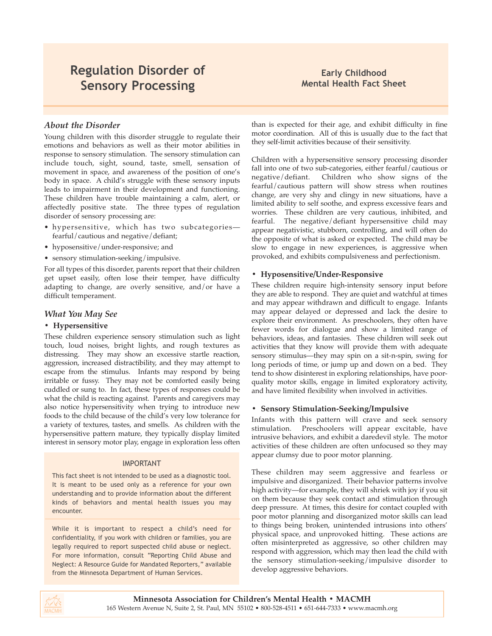# **Regulation Disorder of Sensory Processing**

### **Early Childhood Mental Health Fact Sheet**

### *About the Disorder*

Young children with this disorder struggle to regulate their emotions and behaviors as well as their motor abilities in response to sensory stimulation. The sensory stimulation can include touch, sight, sound, taste, smell, sensation of movement in space, and awareness of the position of one's body in space. A child's struggle with these sensory inputs leads to impairment in their development and functioning. These children have trouble maintaining a calm, alert, or affectedly positive state. The three types of regulation disorder of sensory processing are:

- hypersensitive, which has two subcategories fearful/cautious and negative/defiant;
- hyposensitive/under-responsive; and
- sensory stimulation-seeking/impulsive.

For all types of this disorder, parents report that their children get upset easily, often lose their temper, have difficulty adapting to change, are overly sensitive, and/or have a difficult temperament.

### *What You May See*

### **• Hypersensitive**

These children experience sensory stimulation such as light touch, loud noises, bright lights, and rough textures as distressing. They may show an excessive startle reaction, aggression, increased distractibility, and they may attempt to escape from the stimulus. Infants may respond by being irritable or fussy. They may not be comforted easily being cuddled or sung to. In fact, these types of responses could be what the child is reacting against. Parents and caregivers may also notice hypersensitivity when trying to introduce new foods to the child because of the child's very low tolerance for a variety of textures, tastes, and smells. As children with the hypersensitive pattern mature, they typically display limited interest in sensory motor play, engage in exploration less often

### IMPORTANT

This fact sheet is not intended to be used as a diagnostic tool. It is meant to be used only as a reference for your own understanding and to provide information about the different kinds of behaviors and mental health issues you may encounter.

While it is important to respect a child's need for confidentiality, if you work with children or families, you are legally required to report suspected child abuse or neglect. For more information, consult "Reporting Child Abuse and Neglect: A Resource Guide for Mandated Reporters," available from the Minnesota Department of Human Services.

than is expected for their age, and exhibit difficulty in fine motor coordination. All of this is usually due to the fact that they self-limit activities because of their sensitivity.

Children with a hypersensitive sensory processing disorder fall into one of two sub-categories, either fearful/cautious or negative/defiant. Children who show signs of the fearful/cautious pattern will show stress when routines change, are very shy and clingy in new situations, have a limited ability to self soothe, and express excessive fears and worries. These children are very cautious, inhibited, and fearful. The negative/defiant hypersensitive child may appear negativistic, stubborn, controlling, and will often do the opposite of what is asked or expected. The child may be slow to engage in new experiences, is aggressive when provoked, and exhibits compulsiveness and perfectionism.

### **• Hyposensitive/Under-Responsive**

These children require high-intensity sensory input before they are able to respond. They are quiet and watchful at times and may appear withdrawn and difficult to engage. Infants may appear delayed or depressed and lack the desire to explore their environment. As preschoolers, they often have fewer words for dialogue and show a limited range of behaviors, ideas, and fantasies. These children will seek out activities that they know will provide them with adequate sensory stimulus—they may spin on a sit-n-spin, swing for long periods of time, or jump up and down on a bed. They tend to show disinterest in exploring relationships, have poorquality motor skills, engage in limited exploratory activity, and have limited flexibility when involved in activities.

### **• Sensory Stimulation-Seeking/Impulsive**

Infants with this pattern will crave and seek sensory stimulation. Preschoolers will appear excitable, have intrusive behaviors, and exhibit a daredevil style. The motor activities of these children are often unfocused so they may appear clumsy due to poor motor planning.

These children may seem aggressive and fearless or impulsive and disorganized. Their behavior patterns involve high activity—for example, they will shriek with joy if you sit on them because they seek contact and stimulation through deep pressure. At times, this desire for contact coupled with poor motor planning and disorganized motor skills can lead to things being broken, unintended intrusions into others' physical space, and unprovoked hitting. These actions are often misinterpreted as aggressive, so other children may respond with aggression, which may then lead the child with the sensory stimulation-seeking/impulsive disorder to develop aggressive behaviors.

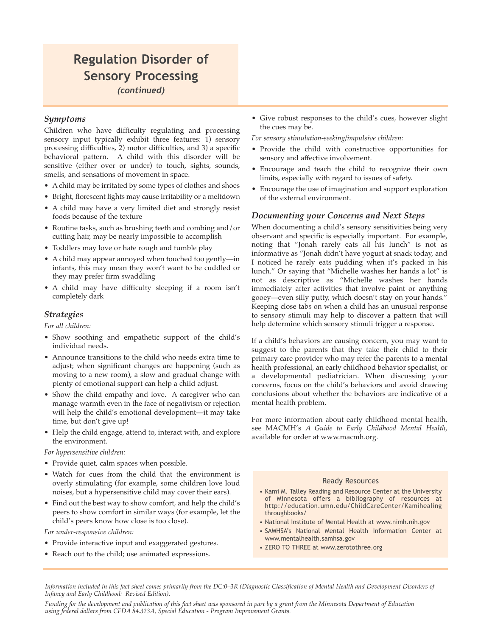### **Regulation Disorder of Sensory Processing** *(continued)*

### *Symptoms*

Children who have difficulty regulating and processing sensory input typically exhibit three features: 1) sensory processing difficulties, 2) motor difficulties, and 3) a specific behavioral pattern. A child with this disorder will be sensitive (either over or under) to touch, sights, sounds, smells, and sensations of movement in space.

- A child may be irritated by some types of clothes and shoes
- Bright, florescent lights may cause irritability or a meltdown
- A child may have a very limited diet and strongly resist foods because of the texture
- Routine tasks, such as brushing teeth and combing and/or cutting hair, may be nearly impossible to accomplish
- Toddlers may love or hate rough and tumble play
- A child may appear annoyed when touched too gently—in infants, this may mean they won't want to be cuddled or they may prefer firm swaddling
- A child may have difficulty sleeping if a room isn't completely dark

### *Strategies*

*For all children:*

- Show soothing and empathetic support of the child's individual needs.
- Announce transitions to the child who needs extra time to adjust; when significant changes are happening (such as moving to a new room), a slow and gradual change with plenty of emotional support can help a child adjust.
- Show the child empathy and love. A caregiver who can manage warmth even in the face of negativism or rejection will help the child's emotional development—it may take time, but don't give up!
- Help the child engage, attend to, interact with, and explore the environment.

### *For hypersensitive children:*

- Provide quiet, calm spaces when possible.
- Watch for cues from the child that the environment is overly stimulating (for example, some children love loud noises, but a hypersensitive child may cover their ears).
- Find out the best way to show comfort, and help the child's peers to show comfort in similar ways (for example, let the child's peers know how close is too close).

*For under-responsive children:*

- Provide interactive input and exaggerated gestures.
- Reach out to the child; use animated expressions.

• Give robust responses to the child's cues, however slight the cues may be.

*For sensory stimulation-seeking/impulsive children:*

- Provide the child with constructive opportunities for sensory and affective involvement.
- Encourage and teach the child to recognize their own limits, especially with regard to issues of safety.
- Encourage the use of imagination and support exploration of the external environment.

### *Documenting your Concerns and Next Steps*

When documenting a child's sensory sensitivities being very observant and specific is especially important. For example, noting that "Jonah rarely eats all his lunch" is not as informative as "Jonah didn't have yogurt at snack today, and I noticed he rarely eats pudding when it's packed in his lunch." Or saying that "Michelle washes her hands a lot" is not as descriptive as "Michelle washes her hands immediately after activities that involve paint or anything gooey—even silly putty, which doesn't stay on your hands." Keeping close tabs on when a child has an unusual response to sensory stimuli may help to discover a pattern that will help determine which sensory stimuli trigger a response.

If a child's behaviors are causing concern, you may want to suggest to the parents that they take their child to their primary care provider who may refer the parents to a mental health professional, an early childhood behavior specialist, or a developmental pediatrician. When discussing your concerns, focus on the child's behaviors and avoid drawing conclusions about whether the behaviors are indicative of a mental health problem.

For more information about early childhood mental health, see MACMH's *A Guide to Early Childhood Mental Health*, available for order at www.macmh.org.

### Ready Resources

- Kami M. Talley Reading and Resource Center at the University of Minnesota offers a bibliography of resources at http://education.umn.edu/ChildCareCenter/Kamihealing throughbooks/
- National Institute of Mental Health at www.nimh.nih.gov
- SAMHSA's National Mental Health Information Center at www.mentalhealth.samhsa.gov
- ZERO TO THREE at www.zerotothree.org

*Information included in this fact sheet comes primarily from the DC:0–3R (Diagnostic Classification of Mental Health and Development Disorders of Infancy and Early Childhood: Revised Edition).*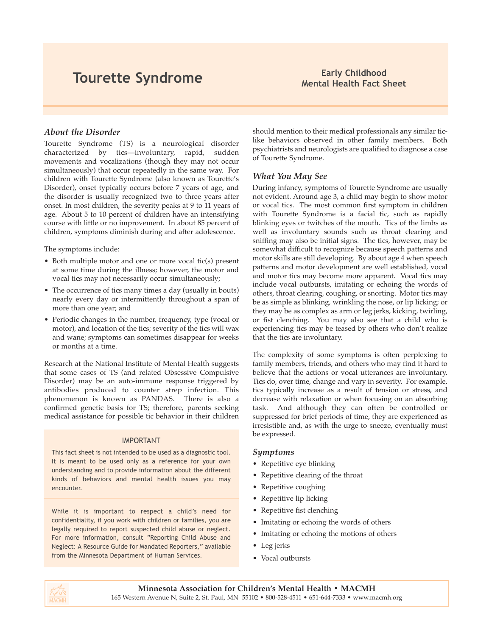# **Tourette Syndrome Early Childhood Early Childhood Early Childhood**

# **Mental Health Fact Sheet**

### *About the Disorder*

Tourette Syndrome (TS) is a neurological disorder characterized by tics—involuntary, rapid, sudden movements and vocalizations (though they may not occur simultaneously) that occur repeatedly in the same way. For children with Tourette Syndrome (also known as Tourette's Disorder), onset typically occurs before 7 years of age, and the disorder is usually recognized two to three years after onset. In most children, the severity peaks at 9 to 11 years of age. About 5 to 10 percent of children have an intensifying course with little or no improvement. In about 85 percent of children, symptoms diminish during and after adolescence.

The symptoms include:

- Both multiple motor and one or more vocal tic(s) present at some time during the illness; however, the motor and vocal tics may not necessarily occur simultaneously;
- The occurrence of tics many times a day (usually in bouts) nearly every day or intermittently throughout a span of more than one year; and
- Periodic changes in the number, frequency, type (vocal or motor), and location of the tics; severity of the tics will wax and wane; symptoms can sometimes disappear for weeks or months at a time.

Research at the National Institute of Mental Health suggests that some cases of TS (and related Obsessive Compulsive Disorder) may be an auto-immune response triggered by antibodies produced to counter strep infection. This phenomenon is known as PANDAS. There is also a confirmed genetic basis for TS; therefore, parents seeking medical assistance for possible tic behavior in their children

### IMPORTANT

This fact sheet is not intended to be used as a diagnostic tool. It is meant to be used only as a reference for your own understanding and to provide information about the different kinds of behaviors and mental health issues you may encounter.

While it is important to respect a child's need for confidentiality, if you work with children or families, you are legally required to report suspected child abuse or neglect. For more information, consult "Reporting Child Abuse and Neglect: A Resource Guide for Mandated Reporters," available from the Minnesota Department of Human Services.

should mention to their medical professionals any similar ticlike behaviors observed in other family members. Both psychiatrists and neurologists are qualified to diagnose a case of Tourette Syndrome.

### *What You May See*

During infancy, symptoms of Tourette Syndrome are usually not evident. Around age 3, a child may begin to show motor or vocal tics. The most common first symptom in children with Tourette Syndrome is a facial tic, such as rapidly blinking eyes or twitches of the mouth. Tics of the limbs as well as involuntary sounds such as throat clearing and sniffing may also be initial signs. The tics, however, may be somewhat difficult to recognize because speech patterns and motor skills are still developing. By about age 4 when speech patterns and motor development are well established, vocal and motor tics may become more apparent. Vocal tics may include vocal outbursts, imitating or echoing the words of others, throat clearing, coughing, or snorting. Motor tics may be as simple as blinking, wrinkling the nose, or lip licking; or they may be as complex as arm or leg jerks, kicking, twirling, or fist clenching. You may also see that a child who is experiencing tics may be teased by others who don't realize that the tics are involuntary.

The complexity of some symptoms is often perplexing to family members, friends, and others who may find it hard to believe that the actions or vocal utterances are involuntary. Tics do, over time, change and vary in severity. For example, tics typically increase as a result of tension or stress, and decrease with relaxation or when focusing on an absorbing task. And although they can often be controlled or suppressed for brief periods of time, they are experienced as irresistible and, as with the urge to sneeze, eventually must be expressed.

### *Symptoms*

- Repetitive eye blinking
- Repetitive clearing of the throat
- Repetitive coughing
- Repetitive lip licking
- Repetitive fist clenching
- Imitating or echoing the words of others
- Imitating or echoing the motions of others
- Leg jerks
- Vocal outbursts